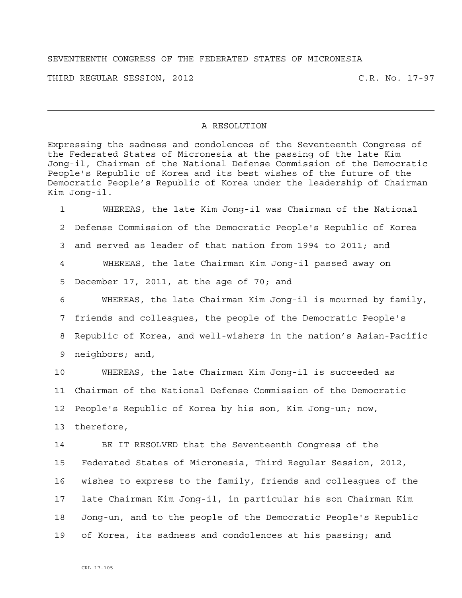## SEVENTEENTH CONGRESS OF THE FEDERATED STATES OF MICRONESIA

THIRD REGULAR SESSION, 2012 C.R. No. 17-97

## A RESOLUTION

Expressing the sadness and condolences of the Seventeenth Congress of the Federated States of Micronesia at the passing of the late Kim Jong-il, Chairman of the National Defense Commission of the Democratic People's Republic of Korea and its best wishes of the future of the Democratic People's Republic of Korea under the leadership of Chairman Kim Jong-il.

1 WHEREAS, the late Kim Jong-il was Chairman of the National 2 Defense Commission of the Democratic People's Republic of Korea 3 and served as leader of that nation from 1994 to 2011; and 4 WHEREAS, the late Chairman Kim Jong-il passed away on 5 December 17, 2011, at the age of 70; and 6 WHEREAS, the late Chairman Kim Jong-il is mourned by family, 7 friends and colleagues, the people of the Democratic People's 8 Republic of Korea, and well-wishers in the nation's Asian-Pacific 9 neighbors; and,

10 WHEREAS, the late Chairman Kim Jong-il is succeeded as 11 Chairman of the National Defense Commission of the Democratic 12 People's Republic of Korea by his son, Kim Jong-un; now, 13 therefore,

14 BE IT RESOLVED that the Seventeenth Congress of the 15 Federated States of Micronesia, Third Regular Session, 2012, 16 wishes to express to the family, friends and colleagues of the 17 late Chairman Kim Jong-il, in particular his son Chairman Kim 18 Jong-un, and to the people of the Democratic People's Republic 19 of Korea, its sadness and condolences at his passing; and